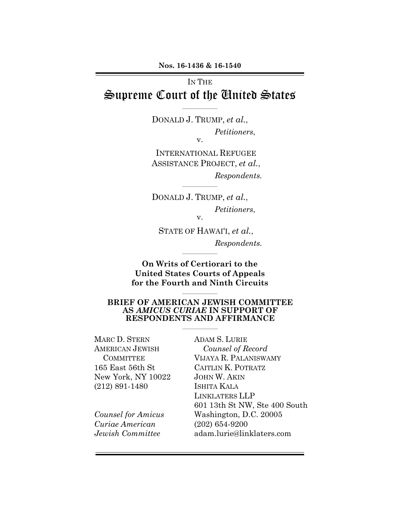# IN THE Supreme Court of the United States

 $\frac{1}{2}$  ,  $\frac{1}{2}$  ,  $\frac{1}{2}$  ,  $\frac{1}{2}$  ,  $\frac{1}{2}$  ,  $\frac{1}{2}$  ,  $\frac{1}{2}$  ,  $\frac{1}{2}$  ,  $\frac{1}{2}$  ,  $\frac{1}{2}$ 

DONALD J. TRUMP, *et al.*, *Petitioners*, v.

INTERNATIONAL REFUGEE ASSISTANCE PROJECT, *et al.*, *Respondents.*

DONALD J. TRUMP, *et al.*, *Petitioners*, v.

 $\_$ 

STATE OF HAWAI'I, *et al.*, *Respondents.*

**On Writs of Certiorari to the United States Courts of Appeals for the Fourth and Ninth Circuits**

 $\frac{1}{2}$  ,  $\frac{1}{2}$  ,  $\frac{1}{2}$  ,  $\frac{1}{2}$  ,  $\frac{1}{2}$  ,  $\frac{1}{2}$  ,  $\frac{1}{2}$  ,  $\frac{1}{2}$  ,  $\frac{1}{2}$  ,  $\frac{1}{2}$ 

#### **BRIEF OF AMERICAN JEWISH COMMITTEE AS** *AMICUS CURIAE* **IN SUPPORT OF RESPONDENTS AND AFFIRMANCE**

 $\mathcal{L}=\mathcal{L}^{\mathcal{L}}$  , where  $\mathcal{L}^{\mathcal{L}}$  , we have the set of the set of the set of the set of the set of the set of the set of the set of the set of the set of the set of the set of the set of the set of the set of

 $\frac{1}{2}$  ,  $\frac{1}{2}$  ,  $\frac{1}{2}$  ,  $\frac{1}{2}$  ,  $\frac{1}{2}$  ,  $\frac{1}{2}$  ,  $\frac{1}{2}$  ,  $\frac{1}{2}$  ,  $\frac{1}{2}$  ,  $\frac{1}{2}$ 

MARC D. STERN AMERICAN JEWISH **COMMITTEE** 165 East 56th St New York, NY 10022 (212) 891-1480

*Counsel for Amicus Curiae American Jewish Committee*

ADAM S. LURIE *Counsel of Record* VIJAYA R. PALANISWAMY CAITLIN K. POTRATZ JOHN W. AKIN ISHITA KALA LINKLATERS LLP 601 13th St NW, Ste 400 South Washington, D.C. 20005 (202) 654-9200 adam.lurie@linklaters.com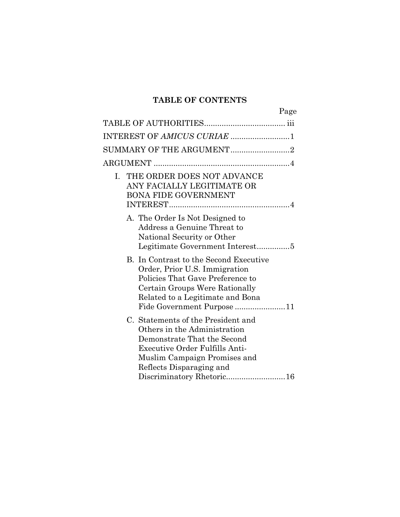# **TABLE OF CONTENTS**

| Page                                                                                                                                                                                                                                |  |
|-------------------------------------------------------------------------------------------------------------------------------------------------------------------------------------------------------------------------------------|--|
|                                                                                                                                                                                                                                     |  |
| INTEREST OF AMICUS CURIAE 1                                                                                                                                                                                                         |  |
|                                                                                                                                                                                                                                     |  |
|                                                                                                                                                                                                                                     |  |
| THE ORDER DOES NOT ADVANCE<br>L.<br>ANY FACIALLY LEGITIMATE OR<br><b>BONA FIDE GOVERNMENT</b>                                                                                                                                       |  |
| A. The Order Is Not Designed to<br>Address a Genuine Threat to<br>National Security or Other<br>Legitimate Government Interest5                                                                                                     |  |
| B. In Contrast to the Second Executive<br>Order, Prior U.S. Immigration<br>Policies That Gave Preference to<br>Certain Groups Were Rationally<br>Related to a Legitimate and Bona<br>Fide Government Purpose 11                     |  |
| C. Statements of the President and<br>Others in the Administration<br>Demonstrate That the Second<br><b>Executive Order Fulfills Anti-</b><br>Muslim Campaign Promises and<br>Reflects Disparaging and<br>Discriminatory Rhetoric16 |  |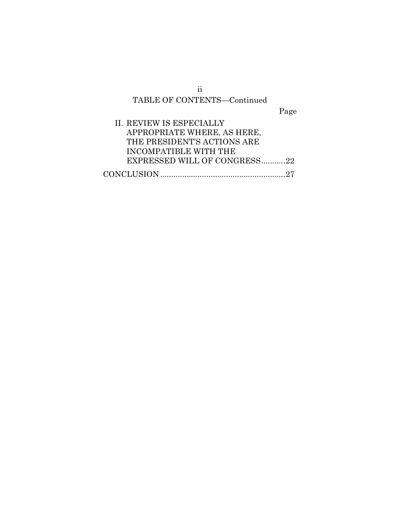# TABLE OF CONTENTS—Continued

Page

| II. REVIEW IS ESPECIALLY     |
|------------------------------|
| APPROPRIATE WHERE, AS HERE,  |
| THE PRESIDENT'S ACTIONS ARE  |
| INCOMPATIBLE WITH THE        |
| EXPRESSED WILL OF CONGRESS22 |
|                              |

ii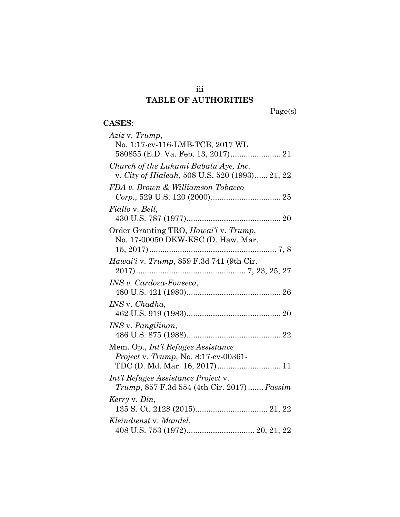# iii **TABLE OF AUTHORITIES**

### **CASES**: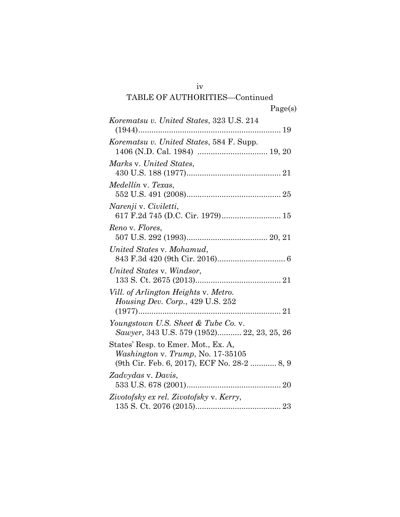### iv

# TABLE OF AUTHORITIES—Continued

|  | u |
|--|---|
|  |   |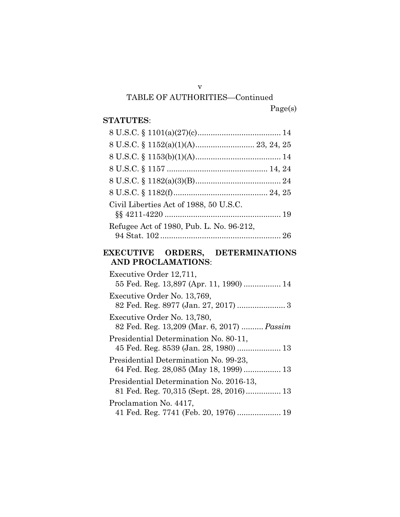v

TABLE OF AUTHORITIES—Continued

### Page(s)

### **STATUTES**:

| Civil Liberties Act of 1988, 50 U.S.C.   |  |
|------------------------------------------|--|
| Refugee Act of 1980, Pub. L. No. 96-212, |  |
|                                          |  |

# **EXECUTIVE ORDERS, DETERMINATIONS AND PROCLAMATIONS**:

| Executive Order 12,711,<br>55 Fed. Reg. 13,897 (Apr. 11, 1990)  14              |  |
|---------------------------------------------------------------------------------|--|
| Executive Order No. 13,769,                                                     |  |
| Executive Order No. 13,780,<br>82 Fed. Reg. 13,209 (Mar. 6, 2017) <i>Passim</i> |  |
| Presidential Determination No. 80-11,                                           |  |
| Presidential Determination No. 99-23,<br>64 Fed. Reg. 28,085 (May 18, 1999)  13 |  |
| Presidential Determination No. 2016-13,                                         |  |
| Proclamation No. 4417,<br>41 Fed. Reg. 7741 (Feb. 20, 1976)  19                 |  |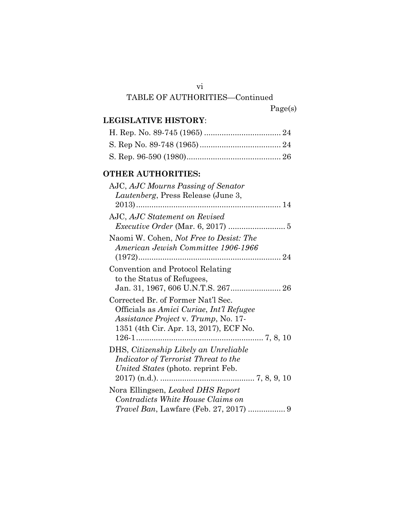### vi

### TABLE OF AUTHORITIES—Continued

### **LEGISLATIVE HISTORY**:

### **OTHER AUTHORITIES:**

| AJC, AJC Statement on Revised                                                                                                                                    |
|------------------------------------------------------------------------------------------------------------------------------------------------------------------|
| Naomi W. Cohen, Not Free to Desist: The<br>American Jewish Committee 1906-1966                                                                                   |
| Convention and Protocol Relating<br>to the Status of Refugees,                                                                                                   |
| Corrected Br. of Former Nat'l Sec.<br>Officials as Amici Curiae, Int'l Refugee<br>Assistance Project v. Trump, No. 17-<br>1351 (4th Cir. Apr. 13, 2017), ECF No. |
| DHS, Citizenship Likely an Unreliable<br>Indicator of Terrorist Threat to the<br>United States (photo. reprint Feb.                                              |
| Nora Ellingsen, Leaked DHS Report<br>Contradicts White House Claims on                                                                                           |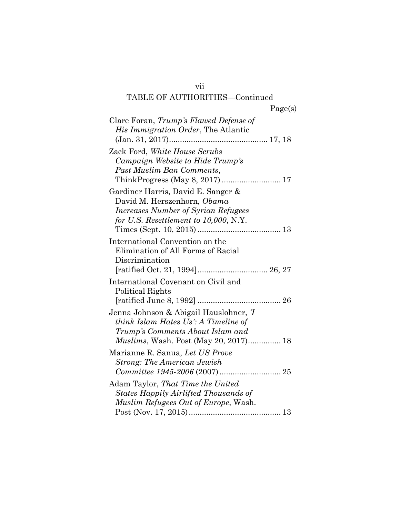### vii

# TABLE OF AUTHORITIES—Continued

| 00. | г |
|-----|---|
|     |   |

| Clare Foran, Trump's Flawed Defense of<br>His Immigration Order, The Atlantic                                                                                                               |
|---------------------------------------------------------------------------------------------------------------------------------------------------------------------------------------------|
| Zack Ford, White House Scrubs<br>Campaign Website to Hide Trump's<br>Past Muslim Ban Comments,                                                                                              |
| Gardiner Harris, David E. Sanger &<br>David M. Herszenhorn, Obama<br><b>Increases Number of Syrian Refugees</b><br>for U.S. Resettlement to $10,000$ , N.Y.<br>Times (Sept. 10, 2015)<br>13 |
| International Convention on the<br>Elimination of All Forms of Racial<br>Discrimination<br>[ratified Oct. 21, 1994] 26, 27                                                                  |
| International Covenant on Civil and<br>Political Rights                                                                                                                                     |
| Jenna Johnson & Abigail Hauslohner, T<br>think Islam Hates Us': A Timeline of<br>Trump's Comments About Islam and<br><i>Muslims</i> , Wash. Post (May 20, 2017) 18                          |
| Marianne R. Sanua, Let US Prove<br><b>Strong: The American Jewish</b>                                                                                                                       |
| Adam Taylor, That Time the United<br>States Happily Airlifted Thousands of<br>Muslim Refugees Out of Europe, Wash.                                                                          |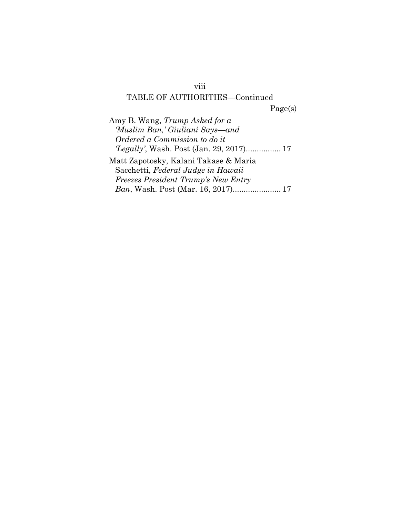#### viii

### TABLE OF AUTHORITIES—Continued

Page(s)

Amy B. Wang, *Trump Asked for a 'Muslim Ban,' Giuliani Says—and Ordered a Commission to do it 'Legally'*, Wash. Post (Jan. 29, 2017)................ 17 Matt Zapotosky, Kalani Takase & Maria Sacchetti, *Federal Judge in Hawaii Freezes President Trump's New Entry* 

*Ban*, Wash. Post (Mar. 16, 2017)...................... 17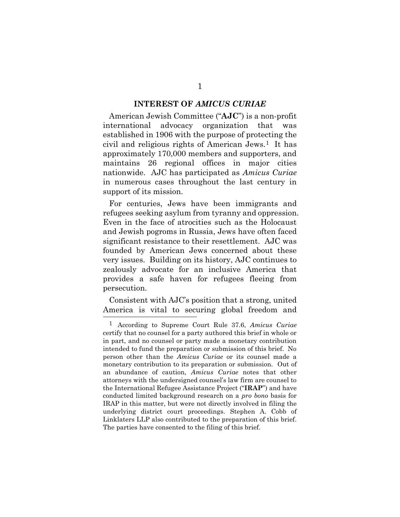#### **INTEREST OF** *AMICUS CURIAE*

American Jewish Committee ("**AJC**") is a non-profit international advocacy organization that was established in 1906 with the purpose of protecting the civil and religious rights of American Jews.1 It has approximately 170,000 members and supporters, and maintains 26 regional offices in major cities nationwide. AJC has participated as *Amicus Curiae* in numerous cases throughout the last century in support of its mission.

For centuries, Jews have been immigrants and refugees seeking asylum from tyranny and oppression. Even in the face of atrocities such as the Holocaust and Jewish pogroms in Russia, Jews have often faced significant resistance to their resettlement. AJC was founded by American Jews concerned about these very issues. Building on its history, AJC continues to zealously advocate for an inclusive America that provides a safe haven for refugees fleeing from persecution.

Consistent with AJC's position that a strong, united America is vital to securing global freedom and 

<sup>1</sup> According to Supreme Court Rule 37.6, *Amicus Curiae* certify that no counsel for a party authored this brief in whole or in part, and no counsel or party made a monetary contribution intended to fund the preparation or submission of this brief. No person other than the *Amicus Curiae* or its counsel made a monetary contribution to its preparation or submission. Out of an abundance of caution, *Amicus Curiae* notes that other attorneys with the undersigned counsel's law firm are counsel to the International Refugee Assistance Project ("**IRAP**") and have conducted limited background research on a *pro bono* basis for IRAP in this matter, but were not directly involved in filing the underlying district court proceedings. Stephen A. Cobb of Linklaters LLP also contributed to the preparation of this brief. The parties have consented to the filing of this brief.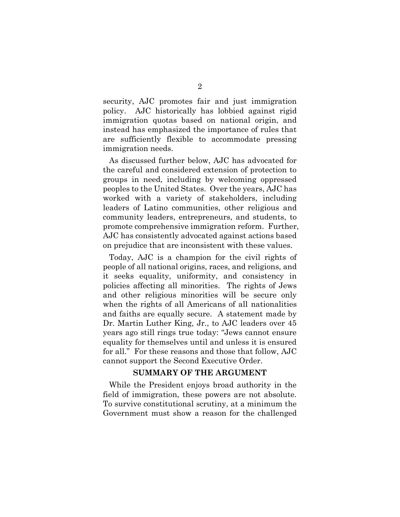security, AJC promotes fair and just immigration policy. AJC historically has lobbied against rigid immigration quotas based on national origin, and instead has emphasized the importance of rules that are sufficiently flexible to accommodate pressing immigration needs.

As discussed further below, AJC has advocated for the careful and considered extension of protection to groups in need, including by welcoming oppressed peoples to the United States. Over the years, AJC has worked with a variety of stakeholders, including leaders of Latino communities, other religious and community leaders, entrepreneurs, and students, to promote comprehensive immigration reform. Further, AJC has consistently advocated against actions based on prejudice that are inconsistent with these values.

Today, AJC is a champion for the civil rights of people of all national origins, races, and religions, and it seeks equality, uniformity, and consistency in policies affecting all minorities. The rights of Jews and other religious minorities will be secure only when the rights of all Americans of all nationalities and faiths are equally secure. A statement made by Dr. Martin Luther King, Jr., to AJC leaders over 45 years ago still rings true today: "Jews cannot ensure equality for themselves until and unless it is ensured for all." For these reasons and those that follow, AJC cannot support the Second Executive Order.

#### **SUMMARY OF THE ARGUMENT**

While the President enjoys broad authority in the field of immigration, these powers are not absolute. To survive constitutional scrutiny, at a minimum the Government must show a reason for the challenged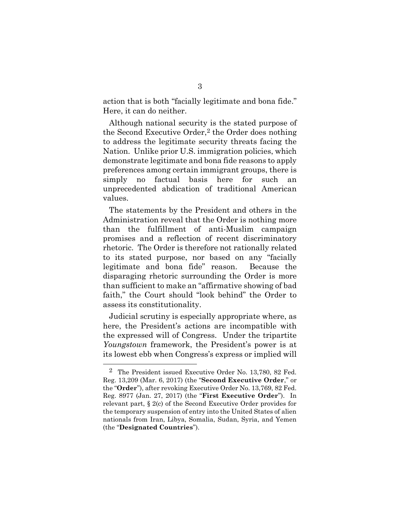action that is both "facially legitimate and bona fide." Here, it can do neither.

Although national security is the stated purpose of the Second Executive Order, 2 the Order does nothing to address the legitimate security threats facing the Nation. Unlike prior U.S. immigration policies, which demonstrate legitimate and bona fide reasons to apply preferences among certain immigrant groups, there is simply no factual basis here for such an unprecedented abdication of traditional American values.

The statements by the President and others in the Administration reveal that the Order is nothing more than the fulfillment of anti-Muslim campaign promises and a reflection of recent discriminatory rhetoric. The Order is therefore not rationally related to its stated purpose, nor based on any "facially legitimate and bona fide" reason. Because the disparaging rhetoric surrounding the Order is more than sufficient to make an "affirmative showing of bad faith," the Court should "look behind" the Order to assess its constitutionality.

Judicial scrutiny is especially appropriate where, as here, the President's actions are incompatible with the expressed will of Congress. Under the tripartite *Youngstown* framework, the President's power is at its lowest ebb when Congress's express or implied will

l

<sup>2</sup> The President issued Executive Order No. 13,780, 82 Fed. Reg. 13,209 (Mar. 6, 2017) (the "**Second Executive Order**," or the "**Order**"), after revoking Executive Order No. 13,769, 82 Fed. Reg. 8977 (Jan. 27, 2017) (the "**First Executive Order**"). In relevant part, § 2(c) of the Second Executive Order provides for the temporary suspension of entry into the United States of alien nationals from Iran, Libya, Somalia, Sudan, Syria, and Yemen (the "**Designated Countries**").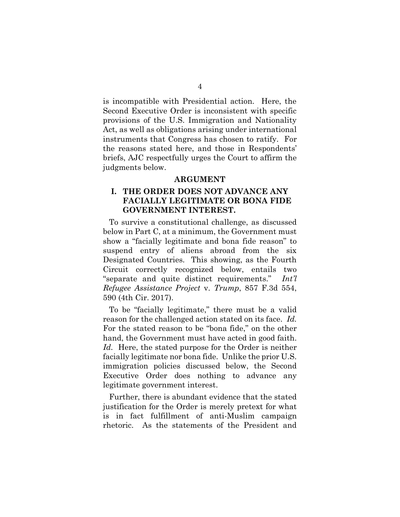is incompatible with Presidential action. Here, the Second Executive Order is inconsistent with specific provisions of the U.S. Immigration and Nationality Act, as well as obligations arising under international instruments that Congress has chosen to ratify. For the reasons stated here, and those in Respondents' briefs, AJC respectfully urges the Court to affirm the judgments below.

#### **ARGUMENT**

### **I. THE ORDER DOES NOT ADVANCE ANY FACIALLY LEGITIMATE OR BONA FIDE GOVERNMENT INTEREST.**

To survive a constitutional challenge, as discussed below in Part C, at a minimum, the Government must show a "facially legitimate and bona fide reason" to suspend entry of aliens abroad from the six Designated Countries. This showing, as the Fourth Circuit correctly recognized below, entails two "separate and quite distinct requirements." *Int'l Refugee Assistance Project* v. *Trump*, 857 F.3d 554, 590 (4th Cir. 2017).

To be "facially legitimate," there must be a valid reason for the challenged action stated on its face. *Id.* For the stated reason to be "bona fide," on the other hand, the Government must have acted in good faith. *Id.* Here, the stated purpose for the Order is neither facially legitimate nor bona fide. Unlike the prior U.S. immigration policies discussed below, the Second Executive Order does nothing to advance any legitimate government interest.

Further, there is abundant evidence that the stated justification for the Order is merely pretext for what is in fact fulfillment of anti-Muslim campaign rhetoric. As the statements of the President and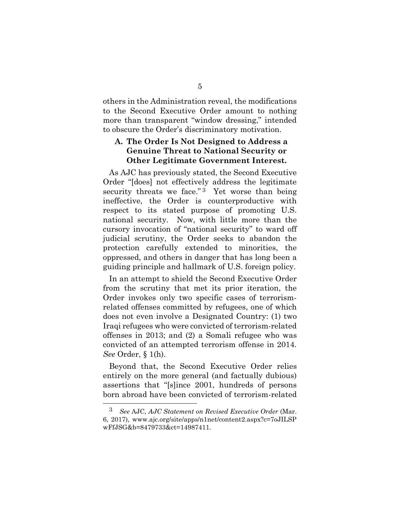others in the Administration reveal, the modifications to the Second Executive Order amount to nothing more than transparent "window dressing," intended to obscure the Order's discriminatory motivation.

### **A. The Order Is Not Designed to Address a Genuine Threat to National Security or Other Legitimate Government Interest.**

As AJC has previously stated, the Second Executive Order "[does] not effectively address the legitimate security threats we face."<sup>3</sup> Yet worse than being ineffective, the Order is counterproductive with respect to its stated purpose of promoting U.S. national security. Now, with little more than the cursory invocation of "national security" to ward off judicial scrutiny, the Order seeks to abandon the protection carefully extended to minorities, the oppressed, and others in danger that has long been a guiding principle and hallmark of U.S. foreign policy.

In an attempt to shield the Second Executive Order from the scrutiny that met its prior iteration, the Order invokes only two specific cases of terrorismrelated offenses committed by refugees, one of which does not even involve a Designated Country: (1) two Iraqi refugees who were convicted of terrorism-related offenses in 2013; and (2) a Somali refugee who was convicted of an attempted terrorism offense in 2014. *See* Order, § 1(h).

Beyond that, the Second Executive Order relies entirely on the more general (and factually dubious) assertions that "[s]ince 2001, hundreds of persons born abroad have been convicted of terrorism-related

<sup>3</sup> *See* AJC, *AJC Statement on Revised Executive Order* (Mar. 6, 2017), www.ajc.org/site/apps/n1net/content2.aspx?c=7oJILSP wFfJSG&b=8479733&ct=14987411.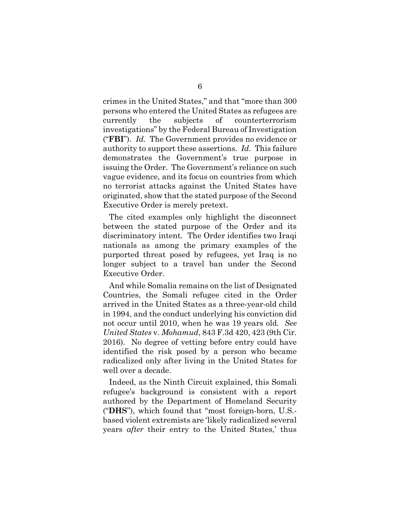crimes in the United States," and that "more than 300 persons who entered the United States as refugees are currently the subjects of counterterrorism investigations" by the Federal Bureau of Investigation ("**FBI**"). *Id.* The Government provides no evidence or authority to support these assertions. *Id.* This failure demonstrates the Government's true purpose in issuing the Order. The Government's reliance on such vague evidence, and its focus on countries from which no terrorist attacks against the United States have originated, show that the stated purpose of the Second Executive Order is merely pretext.

The cited examples only highlight the disconnect between the stated purpose of the Order and its discriminatory intent. The Order identifies two Iraqi nationals as among the primary examples of the purported threat posed by refugees, yet Iraq is no longer subject to a travel ban under the Second Executive Order.

And while Somalia remains on the list of Designated Countries, the Somali refugee cited in the Order arrived in the United States as a three-year-old child in 1994, and the conduct underlying his conviction did not occur until 2010, when he was 19 years old. *See United States* v. *Mohamud*, 843 F.3d 420, 423 (9th Cir. 2016). No degree of vetting before entry could have identified the risk posed by a person who became radicalized only after living in the United States for well over a decade.

Indeed, as the Ninth Circuit explained, this Somali refugee's background is consistent with a report authored by the Department of Homeland Security ("**DHS**"), which found that "most foreign-born, U.S. based violent extremists are 'likely radicalized several years *after* their entry to the United States,' thus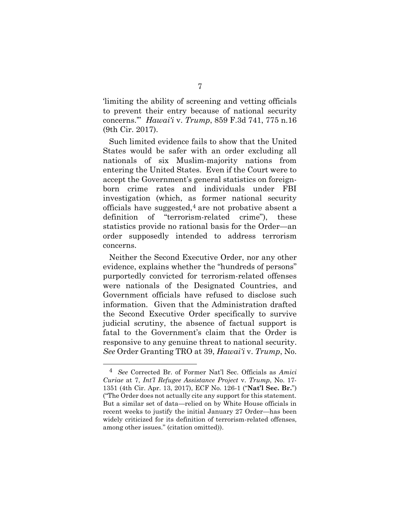'limiting the ability of screening and vetting officials to prevent their entry because of national security concerns.'" *Hawai'i* v. *Trump*, 859 F.3d 741, 775 n.16 (9th Cir. 2017).

Such limited evidence fails to show that the United States would be safer with an order excluding all nationals of six Muslim-majority nations from entering the United States. Even if the Court were to accept the Government's general statistics on foreignborn crime rates and individuals under FBI investigation (which, as former national security officials have suggested,  $4$  are not probative absent a definition of "terrorism-related crime"), these statistics provide no rational basis for the Order—an order supposedly intended to address terrorism concerns.

Neither the Second Executive Order, nor any other evidence, explains whether the "hundreds of persons" purportedly convicted for terrorism-related offenses were nationals of the Designated Countries, and Government officials have refused to disclose such information. Given that the Administration drafted the Second Executive Order specifically to survive judicial scrutiny, the absence of factual support is fatal to the Government's claim that the Order is responsive to any genuine threat to national security. *See* Order Granting TRO at 39, *Hawai'i* v. *Trump*, No.

l

<sup>4</sup> *See* Corrected Br. of Former Nat'l Sec. Officials as *Amici Curiae* at 7, *Int'l Refugee Assistance Project* v. *Trump*, No. 17- 1351 (4th Cir. Apr. 13, 2017), ECF No. 126-1 ("**Nat'l Sec. Br.**") ("The Order does not actually cite any support for this statement. But a similar set of data—relied on by White House officials in recent weeks to justify the initial January 27 Order—has been widely criticized for its definition of terrorism-related offenses, among other issues." (citation omitted)).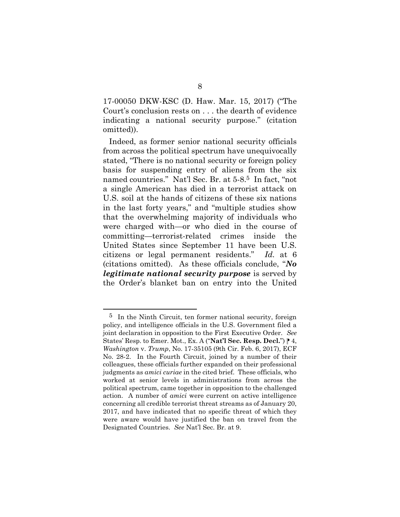17-00050 DKW-KSC (D. Haw. Mar. 15, 2017) ("The Court's conclusion rests on . . . the dearth of evidence indicating a national security purpose." (citation omitted)).

Indeed, as former senior national security officials from across the political spectrum have unequivocally stated, "There is no national security or foreign policy basis for suspending entry of aliens from the six named countries." Nat'l Sec. Br. at 5-8. 5 In fact, "not a single American has died in a terrorist attack on U.S. soil at the hands of citizens of these six nations in the last forty years," and "multiple studies show that the overwhelming majority of individuals who were charged with—or who died in the course of committing—terrorist-related crimes inside the United States since September 11 have been U.S. citizens or legal permanent residents." *Id.* at 6 (citations omitted). As these officials conclude, "*No legitimate national security purpose* is served by the Order's blanket ban on entry into the United

<sup>&</sup>lt;sup>5</sup> In the Ninth Circuit, ten former national security, foreign policy, and intelligence officials in the U.S. Government filed a joint declaration in opposition to the First Executive Order. *See* States' Resp. to Emer. Mot., Ex. A ("**Nat'l Sec. Resp. Decl.**") **| 4**, *Washington* v. *Trump*, No. 17-35105 (9th Cir. Feb. 6, 2017), ECF No. 28-2. In the Fourth Circuit, joined by a number of their colleagues, these officials further expanded on their professional judgments as *amici curiae* in the cited brief. These officials, who worked at senior levels in administrations from across the political spectrum, came together in opposition to the challenged action. A number of *amici* were current on active intelligence concerning all credible terrorist threat streams as of January 20, 2017, and have indicated that no specific threat of which they were aware would have justified the ban on travel from the Designated Countries. *See* Nat'l Sec. Br. at 9.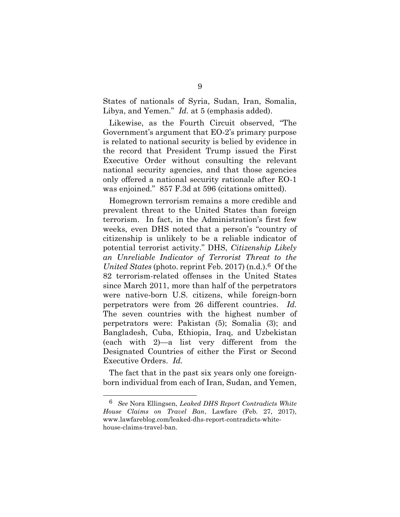States of nationals of Syria, Sudan, Iran, Somalia, Libya, and Yemen." *Id.* at 5 (emphasis added).

Likewise, as the Fourth Circuit observed, "The Government's argument that EO-2's primary purpose is related to national security is belied by evidence in the record that President Trump issued the First Executive Order without consulting the relevant national security agencies, and that those agencies only offered a national security rationale after EO-1 was enjoined." 857 F.3d at 596 (citations omitted).

Homegrown terrorism remains a more credible and prevalent threat to the United States than foreign terrorism. In fact, in the Administration's first few weeks, even DHS noted that a person's "country of citizenship is unlikely to be a reliable indicator of potential terrorist activity." DHS, *Citizenship Likely an Unreliable Indicator of Terrorist Threat to the United States* (photo. reprint Feb. 2017) (n.d.).6 Of the 82 terrorism-related offenses in the United States since March 2011, more than half of the perpetrators were native-born U.S. citizens, while foreign-born perpetrators were from 26 different countries. *Id.* The seven countries with the highest number of perpetrators were: Pakistan (5); Somalia (3); and Bangladesh, Cuba, Ethiopia, Iraq, and Uzbekistan (each with 2)—a list very different from the Designated Countries of either the First or Second Executive Orders. *Id.*

The fact that in the past six years only one foreignborn individual from each of Iran, Sudan, and Yemen,

<sup>6</sup> *See* Nora Ellingsen, *Leaked DHS Report Contradicts White House Claims on Travel Ban*, Lawfare (Feb. 27, 2017), www.lawfareblog.com/leaked-dhs-report-contradicts-whitehouse-claims-travel-ban.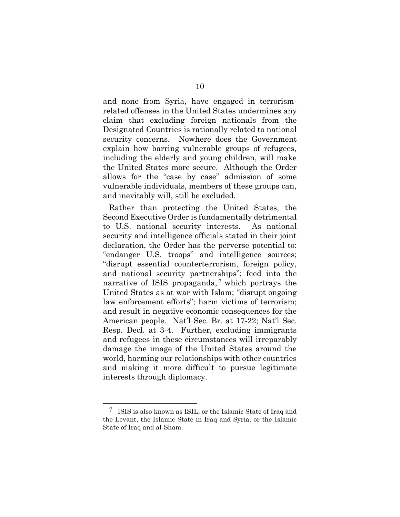and none from Syria, have engaged in terrorismrelated offenses in the United States undermines any claim that excluding foreign nationals from the Designated Countries is rationally related to national security concerns. Nowhere does the Government explain how barring vulnerable groups of refugees, including the elderly and young children, will make the United States more secure. Although the Order allows for the "case by case" admission of some vulnerable individuals, members of these groups can, and inevitably will, still be excluded.

Rather than protecting the United States, the Second Executive Order is fundamentally detrimental to U.S. national security interests. As national security and intelligence officials stated in their joint declaration, the Order has the perverse potential to: "endanger U.S. troops" and intelligence sources; "disrupt essential counterterrorism, foreign policy, and national security partnerships"; feed into the narrative of ISIS propaganda,<sup>7</sup> which portrays the United States as at war with Islam; "disrupt ongoing law enforcement efforts"; harm victims of terrorism; and result in negative economic consequences for the American people. Nat'l Sec. Br. at 17-22; Nat'l Sec. Resp. Decl. at 3-4. Further, excluding immigrants and refugees in these circumstances will irreparably damage the image of the United States around the world, harming our relationships with other countries and making it more difficult to pursue legitimate interests through diplomacy.

<sup>7</sup> ISIS is also known as ISIL, or the Islamic State of Iraq and the Levant, the Islamic State in Iraq and Syria, or the Islamic State of Iraq and al-Sham.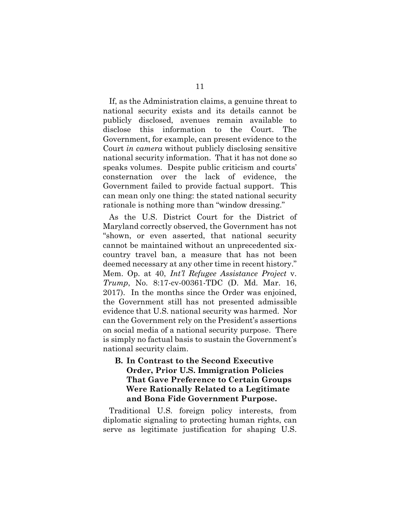If, as the Administration claims, a genuine threat to national security exists and its details cannot be publicly disclosed, avenues remain available to disclose this information to the Court. The Government, for example, can present evidence to the Court *in camera* without publicly disclosing sensitive national security information. That it has not done so speaks volumes. Despite public criticism and courts' consternation over the lack of evidence, the Government failed to provide factual support. This can mean only one thing: the stated national security rationale is nothing more than "window dressing."

As the U.S. District Court for the District of Maryland correctly observed, the Government has not "shown, or even asserted, that national security cannot be maintained without an unprecedented sixcountry travel ban, a measure that has not been deemed necessary at any other time in recent history." Mem. Op. at 40, *Int'l Refugee Assistance Project* v. *Trump*, No. 8:17-cv-00361-TDC (D. Md. Mar. 16, 2017). In the months since the Order was enjoined, the Government still has not presented admissible evidence that U.S. national security was harmed. Nor can the Government rely on the President's assertions on social media of a national security purpose. There is simply no factual basis to sustain the Government's national security claim.

### **B. In Contrast to the Second Executive Order, Prior U.S. Immigration Policies That Gave Preference to Certain Groups Were Rationally Related to a Legitimate and Bona Fide Government Purpose.**

Traditional U.S. foreign policy interests, from diplomatic signaling to protecting human rights, can serve as legitimate justification for shaping U.S.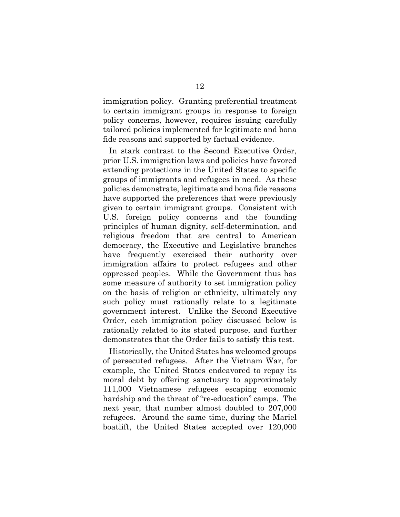immigration policy. Granting preferential treatment to certain immigrant groups in response to foreign policy concerns, however, requires issuing carefully tailored policies implemented for legitimate and bona fide reasons and supported by factual evidence.

In stark contrast to the Second Executive Order, prior U.S. immigration laws and policies have favored extending protections in the United States to specific groups of immigrants and refugees in need. As these policies demonstrate, legitimate and bona fide reasons have supported the preferences that were previously given to certain immigrant groups. Consistent with U.S. foreign policy concerns and the founding principles of human dignity, self-determination, and religious freedom that are central to American democracy, the Executive and Legislative branches have frequently exercised their authority over immigration affairs to protect refugees and other oppressed peoples. While the Government thus has some measure of authority to set immigration policy on the basis of religion or ethnicity, ultimately any such policy must rationally relate to a legitimate government interest. Unlike the Second Executive Order, each immigration policy discussed below is rationally related to its stated purpose, and further demonstrates that the Order fails to satisfy this test.

Historically, the United States has welcomed groups of persecuted refugees. After the Vietnam War, for example, the United States endeavored to repay its moral debt by offering sanctuary to approximately 111,000 Vietnamese refugees escaping economic hardship and the threat of "re-education" camps. The next year, that number almost doubled to 207,000 refugees. Around the same time, during the Mariel boatlift, the United States accepted over 120,000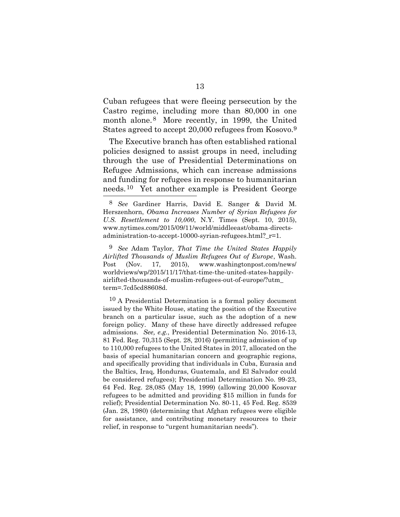Cuban refugees that were fleeing persecution by the Castro regime, including more than 80,000 in one month alone. 8 More recently, in 1999, the United States agreed to accept 20,000 refugees from Kosovo.9

The Executive branch has often established rational policies designed to assist groups in need, including through the use of Presidential Determinations on Refugee Admissions, which can increase admissions and funding for refugees in response to humanitarian needs.10 Yet another example is President George Ξ

<sup>8</sup> *See* Gardiner Harris, David E. Sanger & David M. Herszenhorn, *Obama Increases Number of Syrian Refugees for U.S. Resettlement to 10,000*, N.Y. Times (Sept. 10, 2015), www.nytimes.com/2015/09/11/world/middleeast/obama-directsadministration-to-accept-10000-syrian-refugees.html?\_r=1.

<sup>9</sup> *See* Adam Taylor, *That Time the United States Happily Airlifted Thousands of Muslim Refugees Out of Europe*, Wash. Post (Nov. 17, 2015), www.washingtonpost.com/news/ worldviews/wp/2015/11/17/that-time-the-united-states-happilyairlifted-thousands-of-muslim-refugees-out-of-europe/?utm\_ term=.7cd5cd88608d.

<sup>10</sup> A Presidential Determination is a formal policy document issued by the White House, stating the position of the Executive branch on a particular issue, such as the adoption of a new foreign policy. Many of these have directly addressed refugee admissions. *See, e.g.*, Presidential Determination No. 2016-13, 81 Fed. Reg. 70,315 (Sept. 28, 2016) (permitting admission of up to 110,000 refugees to the United States in 2017, allocated on the basis of special humanitarian concern and geographic regions, and specifically providing that individuals in Cuba, Eurasia and the Baltics, Iraq, Honduras, Guatemala, and El Salvador could be considered refugees); Presidential Determination No. 99-23, 64 Fed. Reg. 28,085 (May 18, 1999) (allowing 20,000 Kosovar refugees to be admitted and providing \$15 million in funds for relief); Presidential Determination No. 80-11, 45 Fed. Reg. 8539 (Jan. 28, 1980) (determining that Afghan refugees were eligible for assistance, and contributing monetary resources to their relief, in response to "urgent humanitarian needs").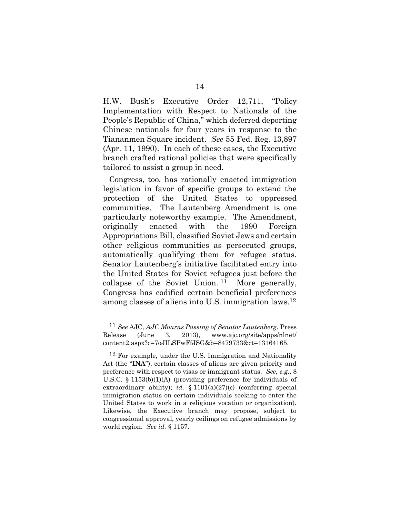H.W. Bush's Executive Order 12,711, "Policy Implementation with Respect to Nationals of the People's Republic of China," which deferred deporting Chinese nationals for four years in response to the Tiananmen Square incident. *See* 55 Fed. Reg. 13,897 (Apr. 11, 1990). In each of these cases, the Executive branch crafted rational policies that were specifically tailored to assist a group in need.

Congress, too, has rationally enacted immigration legislation in favor of specific groups to extend the protection of the United States to oppressed communities. The Lautenberg Amendment is one particularly noteworthy example. The Amendment, originally enacted with the 1990 Foreign Appropriations Bill, classified Soviet Jews and certain other religious communities as persecuted groups, automatically qualifying them for refugee status. Senator Lautenberg's initiative facilitated entry into the United States for Soviet refugees just before the collapse of the Soviet Union. 11 More generally, Congress has codified certain beneficial preferences among classes of aliens into U.S. immigration laws.12

<sup>11</sup> *See* AJC, *AJC Mourns Passing of Senator Lautenberg*, Press Release (June 3, 2013), www.ajc.org/site/apps/nlnet/ content2.aspx?c=7oJILSPwFfJSG&b=8479733&ct=13164165.

 $12$  For example, under the U.S. Immigration and Nationality Act (the "**INA**"), certain classes of aliens are given priority and preference with respect to visas or immigrant status. *See, e.g.*, 8 U.S.C. § 1153(b)(1)(A) (providing preference for individuals of extraordinary ability); *id.* § 1101(a)(27)(c) (conferring special immigration status on certain individuals seeking to enter the United States to work in a religious vocation or organization). Likewise, the Executive branch may propose, subject to congressional approval, yearly ceilings on refugee admissions by world region. *See id.* § 1157.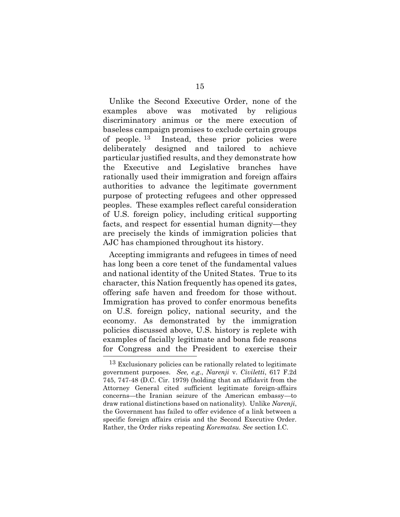Unlike the Second Executive Order, none of the examples above was motivated by religious discriminatory animus or the mere execution of baseless campaign promises to exclude certain groups of people. 13 Instead, these prior policies were deliberately designed and tailored to achieve particular justified results, and they demonstrate how the Executive and Legislative branches have rationally used their immigration and foreign affairs authorities to advance the legitimate government purpose of protecting refugees and other oppressed peoples. These examples reflect careful consideration of U.S. foreign policy, including critical supporting facts, and respect for essential human dignity—they are precisely the kinds of immigration policies that AJC has championed throughout its history.

Accepting immigrants and refugees in times of need has long been a core tenet of the fundamental values and national identity of the United States. True to its character, this Nation frequently has opened its gates, offering safe haven and freedom for those without. Immigration has proved to confer enormous benefits on U.S. foreign policy, national security, and the economy. As demonstrated by the immigration policies discussed above, U.S. history is replete with examples of facially legitimate and bona fide reasons for Congress and the President to exercise their l

<sup>&</sup>lt;sup>13</sup> Exclusionary policies can be rationally related to legitimate government purposes. *See, e.g.*, *Narenji* v. *Civiletti*, 617 F.2d 745, 747-48 (D.C. Cir. 1979) (holding that an affidavit from the Attorney General cited sufficient legitimate foreign-affairs concerns—the Iranian seizure of the American embassy—to draw rational distinctions based on nationality). Unlike *Narenji*, the Government has failed to offer evidence of a link between a specific foreign affairs crisis and the Second Executive Order. Rather, the Order risks repeating *Korematsu. See* section I.C.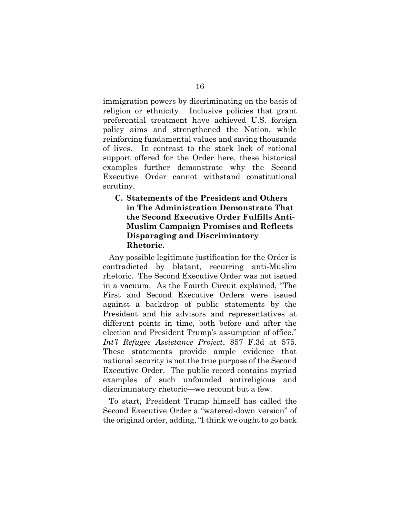immigration powers by discriminating on the basis of religion or ethnicity. Inclusive policies that grant preferential treatment have achieved U.S. foreign policy aims and strengthened the Nation, while reinforcing fundamental values and saving thousands of lives. In contrast to the stark lack of rational support offered for the Order here, these historical examples further demonstrate why the Second Executive Order cannot withstand constitutional scrutiny.

### **C. Statements of the President and Others in The Administration Demonstrate That the Second Executive Order Fulfills Anti-Muslim Campaign Promises and Reflects Disparaging and Discriminatory Rhetoric.**

Any possible legitimate justification for the Order is contradicted by blatant, recurring anti-Muslim rhetoric. The Second Executive Order was not issued in a vacuum. As the Fourth Circuit explained, "The First and Second Executive Orders were issued against a backdrop of public statements by the President and his advisors and representatives at different points in time, both before and after the election and President Trump's assumption of office." *Int'l Refugee Assistance Project*, 857 F.3d at 575. These statements provide ample evidence that national security is not the true purpose of the Second Executive Order. The public record contains myriad examples of such unfounded antireligious and discriminatory rhetoric—we recount but a few.

To start, President Trump himself has called the Second Executive Order a "watered-down version" of the original order, adding, "I think we ought to go back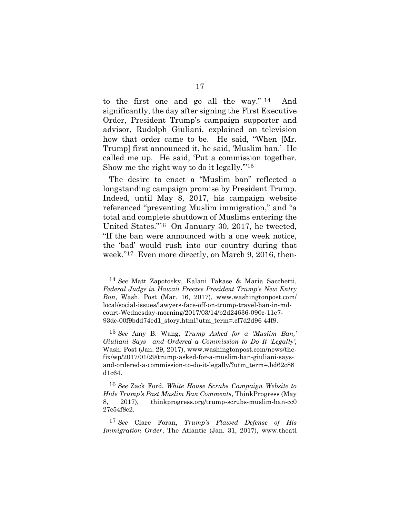to the first one and go all the way." 14 And significantly, the day after signing the First Executive Order, President Trump's campaign supporter and advisor, Rudolph Giuliani, explained on television how that order came to be. He said, "When [Mr. Trump] first announced it, he said, 'Muslim ban.' He called me up. He said, 'Put a commission together. Show me the right way to do it legally.'"15

The desire to enact a "Muslim ban" reflected a longstanding campaign promise by President Trump. Indeed, until May 8, 2017, his campaign website referenced "preventing Muslim immigration," and "a total and complete shutdown of Muslims entering the United States."16 On January 30, 2017, he tweeted, "If the ban were announced with a one week notice, the 'bad' would rush into our country during that week."17 Even more directly, on March 9, 2016, then-

<sup>14</sup> *See* Matt Zapotosky, Kalani Takase & Maria Sacchetti, *Federal Judge in Hawaii Freezes President Trump's New Entry Ban*, Wash. Post (Mar. 16, 2017), www.washingtonpost.com/ local/social-issues/lawyers-face-off-on-trump-travel-ban-in-mdcourt-Wednesday-morning/2017/03/14/b2d24636-090c-11e7- 93dc-00f9bdd74ed1\_story.html?utm\_term=.cf7d2d96 44f9.

<sup>15</sup> *See* Amy B. Wang, *Trump Asked for a 'Muslim Ban,' Giuliani Says—and Ordered a Commission to Do It 'Legally'*, Wash. Post (Jan. 29, 2017), www.washingtonpost.com/news/thefix/wp/2017/01/29/trump-asked-for-a-muslim-ban-giuliani-saysand-ordered-a-commission-to-do-it-legally/?utm\_term=.bd62c88 d1c64.

<sup>16</sup> *See* Zack Ford, *White House Scrubs Campaign Website to Hide Trump's Past Muslim Ban Comments*, ThinkProgress (May 8, 2017), thinkprogress.org/trump-scrubs-muslim-ban-cc0 27c54f8c2.

<sup>17</sup> *See* Clare Foran, *Trump's Flawed Defense of His Immigration Order*, The Atlantic (Jan. 31, 2017), www.theatl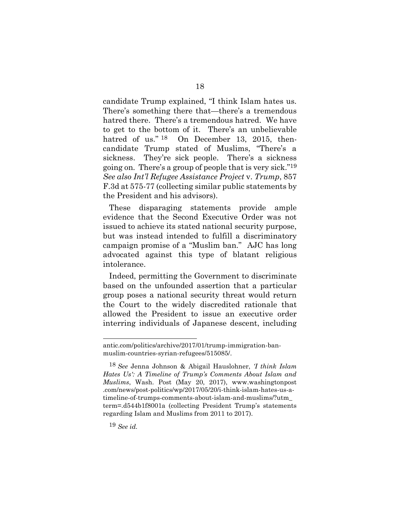candidate Trump explained, "I think Islam hates us. There's something there that—there's a tremendous hatred there. There's a tremendous hatred. We have to get to the bottom of it. There's an unbelievable hatred of us."<sup>18</sup> On December 13, 2015, thencandidate Trump stated of Muslims, "There's a sickness. They're sick people. There's a sickness going on. There's a group of people that is very sick."19 *See also Int'l Refugee Assistance Project* v. *Trump*, 857 F.3d at 575-77 (collecting similar public statements by the President and his advisors).

These disparaging statements provide ample evidence that the Second Executive Order was not issued to achieve its stated national security purpose, but was instead intended to fulfill a discriminatory campaign promise of a "Muslim ban." AJC has long advocated against this type of blatant religious intolerance.

Indeed, permitting the Government to discriminate based on the unfounded assertion that a particular group poses a national security threat would return the Court to the widely discredited rationale that allowed the President to issue an executive order interring individuals of Japanese descent, including

l

antic.com/politics/archive/2017/01/trump-immigration-banmuslim-countries-syrian-refugees/515085/.

<sup>18</sup> *See* Jenna Johnson & Abigail Hauslohner, *'I think Islam Hates Us': A Timeline of Trump's Comments About Islam and Muslims*, Wash. Post (May 20, 2017), www.washingtonpost .com/news/post-politics/wp/2017/05/20/i-think-islam-hates-us-atimeline-of-trumps-comments-about-islam-and-muslims/?utm\_ term=.d544b1f8001a (collecting President Trump's statements regarding Islam and Muslims from 2011 to 2017).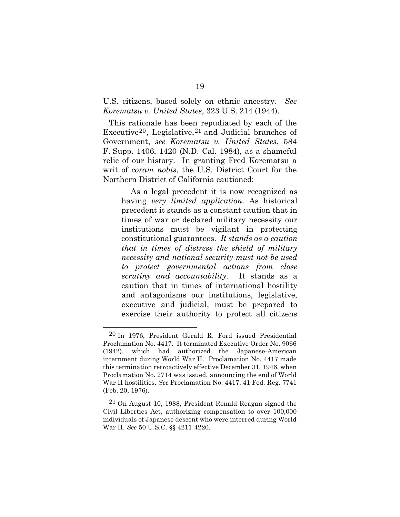U.S. citizens, based solely on ethnic ancestry. *See Korematsu v. United States*, 323 U.S. 214 (1944).

This rationale has been repudiated by each of the Executive20, Legislative, 21 and Judicial branches of Government, *see Korematsu v. United States*, 584 F. Supp. 1406, 1420 (N.D. Cal. 1984), as a shameful relic of our history. In granting Fred Korematsu a writ of *coram nobis*, the U.S. District Court for the Northern District of California cautioned:

As a legal precedent it is now recognized as having *very limited application*. As historical precedent it stands as a constant caution that in times of war or declared military necessity our institutions must be vigilant in protecting constitutional guarantees. *It stands as a caution that in times of distress the shield of military necessity and national security must not be used to protect governmental actions from close scrutiny and accountability.* It stands as a caution that in times of international hostility and antagonisms our institutions, legislative, executive and judicial, must be prepared to exercise their authority to protect all citizens

<sup>20</sup> In 1976, President Gerald R. Ford issued Presidential Proclamation No. 4417. It terminated Executive Order No. 9066 (1942), which had authorized the Japanese-American internment during World War II. Proclamation No. 4417 made this termination retroactively effective December 31, 1946, when Proclamation No. 2714 was issued, announcing the end of World War II hostilities. *See* Proclamation No. 4417, 41 Fed. Reg. 7741 (Feb. 20, 1976).

<sup>21</sup> On August 10, 1988, President Ronald Reagan signed the Civil Liberties Act, authorizing compensation to over 100,000 individuals of Japanese descent who were interred during World War II. *See* 50 U.S.C. §§ 4211-4220.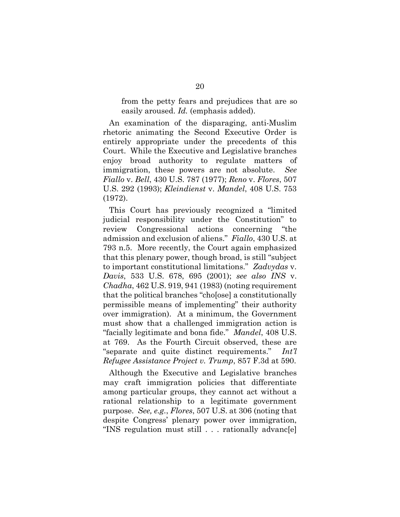from the petty fears and prejudices that are so easily aroused. *Id.* (emphasis added).

An examination of the disparaging, anti-Muslim rhetoric animating the Second Executive Order is entirely appropriate under the precedents of this Court. While the Executive and Legislative branches enjoy broad authority to regulate matters of immigration, these powers are not absolute. *See Fiallo* v. *Bell*, 430 U.S. 787 (1977); *Reno* v. *Flores*, 507 U.S. 292 (1993); *Kleindienst* v. *Mandel*, 408 U.S. 753 (1972).

This Court has previously recognized a "limited judicial responsibility under the Constitution" to review Congressional actions concerning "the admission and exclusion of aliens." *Fiallo*, 430 U.S. at 793 n.5. More recently, the Court again emphasized that this plenary power, though broad, is still "subject to important constitutional limitations." *Zadvydas* v. *Davis*, 533 U.S. 678, 695 (2001); *see also INS* v. *Chadha*, 462 U.S. 919, 941 (1983) (noting requirement that the political branches "cho[ose] a constitutionally permissible means of implementing" their authority over immigration). At a minimum, the Government must show that a challenged immigration action is "facially legitimate and bona fide." *Mandel*, 408 U.S. at 769. As the Fourth Circuit observed, these are "separate and quite distinct requirements." *Int'l Refugee Assistance Project v. Trump*, 857 F.3d at 590.

Although the Executive and Legislative branches may craft immigration policies that differentiate among particular groups, they cannot act without a rational relationship to a legitimate government purpose. *See, e.g.*, *Flores*, 507 U.S. at 306 (noting that despite Congress' plenary power over immigration, "INS regulation must still . . . rationally advanc[e]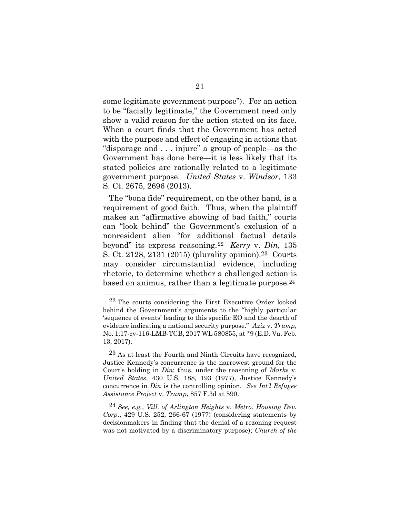some legitimate government purpose"). For an action to be "facially legitimate," the Government need only show a valid reason for the action stated on its face. When a court finds that the Government has acted with the purpose and effect of engaging in actions that "disparage and . . . injure" a group of people—as the Government has done here—it is less likely that its stated policies are rationally related to a legitimate government purpose. *United States* v. *Windsor*, 133 S. Ct. 2675, 2696 (2013).

The "bona fide" requirement, on the other hand, is a requirement of good faith. Thus, when the plaintiff makes an "affirmative showing of bad faith," courts can "look behind" the Government's exclusion of a nonresident alien "for additional factual details beyond" its express reasoning.<sup>22</sup> *Kerry* v. *Din*, 135 S. Ct. 2128, 2131 (2015) (plurality opinion). 23 Courts may consider circumstantial evidence, including rhetoric, to determine whether a challenged action is based on animus, rather than a legitimate purpose. 24

<sup>22</sup> The courts considering the First Executive Order looked behind the Government's arguments to the "highly particular 'sequence of events' leading to this specific EO and the dearth of evidence indicating a national security purpose." *Aziz* v. *Trump*, No. 1:17-cv-116-LMB-TCB, 2017 WL 580855, at \*9 (E.D. Va. Feb. 13, 2017).

<sup>23</sup> As at least the Fourth and Ninth Circuits have recognized, Justice Kennedy's concurrence is the narrowest ground for the Court's holding in *Din*; thus, under the reasoning of *Marks* v. *United States*, 430 U.S. 188, 193 (1977), Justice Kennedy's concurrence in *Din* is the controlling opinion. *See Int'l Refugee Assistance Project* v. *Trump*, 857 F.3d at 590.

<sup>24</sup> *See, e.g.*, *Vill. of Arlington Heights* v. *Metro. Housing Dev. Corp.*, 429 U.S. 252, 266-67 (1977) (considering statements by decisionmakers in finding that the denial of a rezoning request was not motivated by a discriminatory purpose); *Church of the*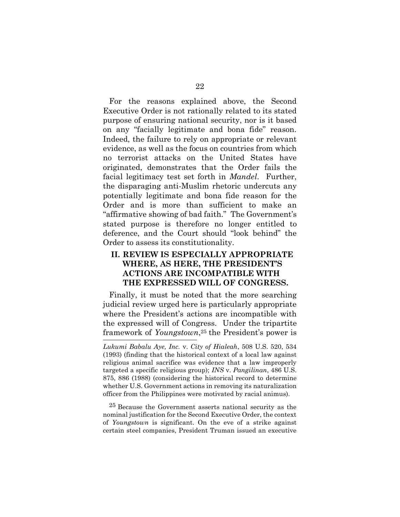For the reasons explained above, the Second Executive Order is not rationally related to its stated purpose of ensuring national security, nor is it based on any "facially legitimate and bona fide" reason. Indeed, the failure to rely on appropriate or relevant evidence, as well as the focus on countries from which no terrorist attacks on the United States have originated, demonstrates that the Order fails the facial legitimacy test set forth in *Mandel*. Further, the disparaging anti-Muslim rhetoric undercuts any potentially legitimate and bona fide reason for the Order and is more than sufficient to make an "affirmative showing of bad faith." The Government's stated purpose is therefore no longer entitled to deference, and the Court should "look behind" the Order to assess its constitutionality.

### **II. REVIEW IS ESPECIALLY APPROPRIATE WHERE, AS HERE, THE PRESIDENT'S ACTIONS ARE INCOMPATIBLE WITH THE EXPRESSED WILL OF CONGRESS.**

Finally, it must be noted that the more searching judicial review urged here is particularly appropriate where the President's actions are incompatible with the expressed will of Congress. Under the tripartite framework of *Youngstown*, <sup>25</sup> the President's power is Ξ

25 Because the Government asserts national security as the nominal justification for the Second Executive Order, the context of *Youngstown* is significant. On the eve of a strike against certain steel companies, President Truman issued an executive

*Lukumi Babalu Aye, Inc.* v. *City of Hialeah*, 508 U.S. 520, 534 (1993) (finding that the historical context of a local law against religious animal sacrifice was evidence that a law improperly targeted a specific religious group); *INS* v. *Pangilinan*, 486 U.S. 875, 886 (1988) (considering the historical record to determine whether U.S. Government actions in removing its naturalization officer from the Philippines were motivated by racial animus).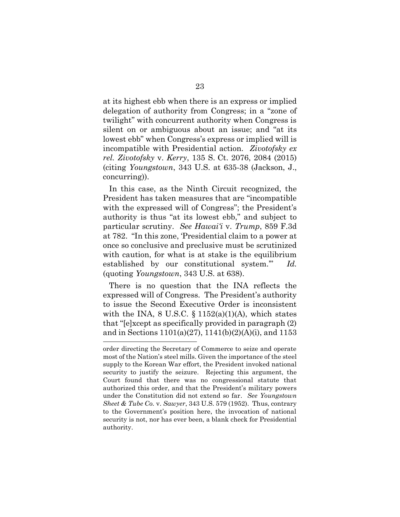at its highest ebb when there is an express or implied delegation of authority from Congress; in a "zone of twilight" with concurrent authority when Congress is silent on or ambiguous about an issue; and "at its lowest ebb" when Congress's express or implied will is incompatible with Presidential action. *Zivotofsky ex rel. Zivotofsky* v. *Kerry*, 135 S. Ct. 2076, 2084 (2015) (citing *Youngstown*, 343 U.S. at 635-38 (Jackson, J., concurring)).

In this case, as the Ninth Circuit recognized, the President has taken measures that are "incompatible with the expressed will of Congress"; the President's authority is thus "at its lowest ebb," and subject to particular scrutiny. *See Hawai'i* v. *Trump*, 859 F.3d at 782. "In this zone, 'Presidential claim to a power at once so conclusive and preclusive must be scrutinized with caution, for what is at stake is the equilibrium established by our constitutional system.'" *Id.* (quoting *Youngstown*, 343 U.S. at 638).

There is no question that the INA reflects the expressed will of Congress. The President's authority to issue the Second Executive Order is inconsistent with the INA,  $8 \text{ U.S.C. } \S 1152(a)(1)(\text{A})$ , which states that "[e]xcept as specifically provided in paragraph (2) and in Sections  $1101(a)(27)$ ,  $1141(b)(2)(A)(i)$ , and  $1153$ 

order directing the Secretary of Commerce to seize and operate most of the Nation's steel mills. Given the importance of the steel supply to the Korean War effort, the President invoked national security to justify the seizure. Rejecting this argument, the Court found that there was no congressional statute that authorized this order, and that the President's military powers under the Constitution did not extend so far. *See Youngstown Sheet & Tube Co.* v. *Sawyer*, 343 U.S. 579 (1952). Thus, contrary to the Government's position here, the invocation of national security is not, nor has ever been, a blank check for Presidential authority.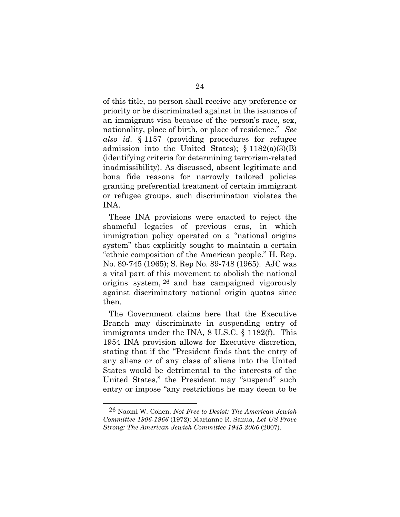of this title, no person shall receive any preference or priority or be discriminated against in the issuance of an immigrant visa because of the person's race, sex, nationality, place of birth, or place of residence." *See also id.* § 1157 (providing procedures for refugee admission into the United States);  $\S 1182(a)(3)(B)$ (identifying criteria for determining terrorism-related inadmissibility). As discussed, absent legitimate and bona fide reasons for narrowly tailored policies granting preferential treatment of certain immigrant or refugee groups, such discrimination violates the INA.

These INA provisions were enacted to reject the shameful legacies of previous eras, in which immigration policy operated on a "national origins system" that explicitly sought to maintain a certain "ethnic composition of the American people." H. Rep. No. 89-745 (1965); S. Rep No. 89-748 (1965). AJC was a vital part of this movement to abolish the national origins system, 26 and has campaigned vigorously against discriminatory national origin quotas since then.

The Government claims here that the Executive Branch may discriminate in suspending entry of immigrants under the INA, 8 U.S.C. § 1182(f). This 1954 INA provision allows for Executive discretion, stating that if the "President finds that the entry of any aliens or of any class of aliens into the United States would be detrimental to the interests of the United States," the President may "suspend" such entry or impose "any restrictions he may deem to be

<sup>26</sup> Naomi W. Cohen, *Not Free to Desist: The American Jewish Committee 1906-1966* (1972); Marianne R. Sanua, *Let US Prove Strong: The American Jewish Committee 1945-2006* (2007).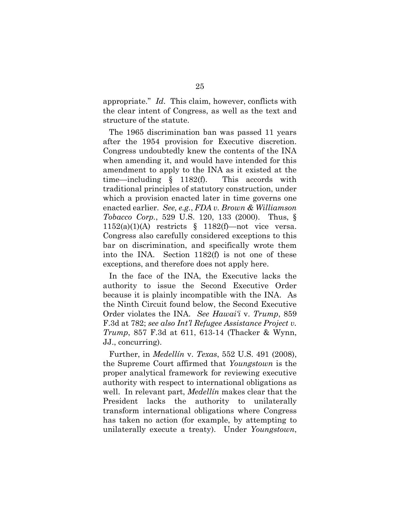appropriate." *Id*. This claim, however, conflicts with the clear intent of Congress, as well as the text and structure of the statute.

The 1965 discrimination ban was passed 11 years after the 1954 provision for Executive discretion. Congress undoubtedly knew the contents of the INA when amending it, and would have intended for this amendment to apply to the INA as it existed at the time—including § 1182(f). This accords with traditional principles of statutory construction, under which a provision enacted later in time governs one enacted earlier. *See, e.g.*, *FDA v. Brown & Williamson Tobacco Corp.*, 529 U.S. 120, 133 (2000). Thus, §  $1152(a)(1)(A)$  restricts § 1182(f)—not vice versa. Congress also carefully considered exceptions to this bar on discrimination, and specifically wrote them into the INA. Section 1182(f) is not one of these exceptions, and therefore does not apply here.

In the face of the INA, the Executive lacks the authority to issue the Second Executive Order because it is plainly incompatible with the INA. As the Ninth Circuit found below, the Second Executive Order violates the INA. *See Hawai'i* v. *Trump*, 859 F.3d at 782; *see also Int'l Refugee Assistance Project v. Trump*, 857 F.3d at 611, 613-14 (Thacker & Wynn, JJ., concurring).

Further, in *Medellín* v. *Texas*, 552 U.S. 491 (2008), the Supreme Court affirmed that *Youngstown* is the proper analytical framework for reviewing executive authority with respect to international obligations as well. In relevant part, *Medellín* makes clear that the President lacks the authority to unilaterally transform international obligations where Congress has taken no action (for example, by attempting to unilaterally execute a treaty). Under *Youngstown*,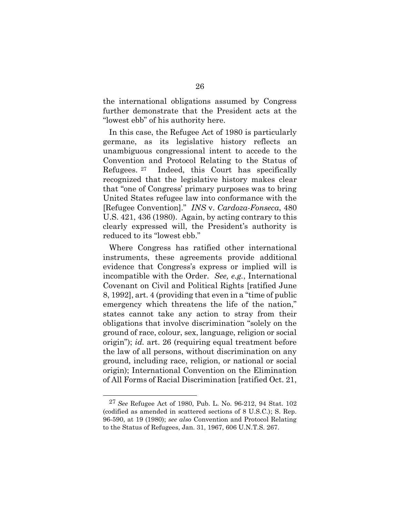the international obligations assumed by Congress further demonstrate that the President acts at the "lowest ebb" of his authority here.

In this case, the Refugee Act of 1980 is particularly germane, as its legislative history reflects an unambiguous congressional intent to accede to the Convention and Protocol Relating to the Status of Refugees. <sup>27</sup> Indeed, this Court has specifically recognized that the legislative history makes clear that "one of Congress' primary purposes was to bring United States refugee law into conformance with the [Refugee Convention]." *INS* v. *Cardoza-Fonseca*, 480 U.S. 421, 436 (1980). Again, by acting contrary to this clearly expressed will, the President's authority is reduced to its "lowest ebb."

Where Congress has ratified other international instruments, these agreements provide additional evidence that Congress's express or implied will is incompatible with the Order. *See, e.g.*, International Covenant on Civil and Political Rights [ratified June 8, 1992], art. 4 (providing that even in a "time of public emergency which threatens the life of the nation," states cannot take any action to stray from their obligations that involve discrimination "solely on the ground of race, colour, sex, language, religion or social origin"); *id.* art. 26 (requiring equal treatment before the law of all persons, without discrimination on any ground, including race, religion, or national or social origin); International Convention on the Elimination of All Forms of Racial Discrimination [ratified Oct. 21,

<sup>27</sup> *See* Refugee Act of 1980, Pub. L. No. 96-212, 94 Stat. 102 (codified as amended in scattered sections of 8 U.S.C.); S. Rep. 96-590, at 19 (1980); *see also* Convention and Protocol Relating to the Status of Refugees, Jan. 31, 1967, 606 U.N.T.S. 267.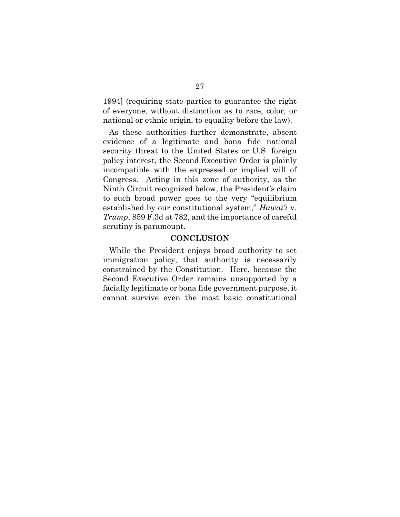1994] (requiring state parties to guarantee the right of everyone, without distinction as to race, color, or national or ethnic origin, to equality before the law).

As these authorities further demonstrate, absent evidence of a legitimate and bona fide national security threat to the United States or U.S. foreign policy interest, the Second Executive Order is plainly incompatible with the expressed or implied will of Congress. Acting in this zone of authority, as the Ninth Circuit recognized below, the President's claim to such broad power goes to the very "equilibrium established by our constitutional system," *Hawai'i* v. *Trump*, 859 F.3d at 782, and the importance of careful scrutiny is paramount.

#### **CONCLUSION**

While the President enjoys broad authority to set immigration policy, that authority is necessarily constrained by the Constitution. Here, because the Second Executive Order remains unsupported by a facially legitimate or bona fide government purpose, it cannot survive even the most basic constitutional